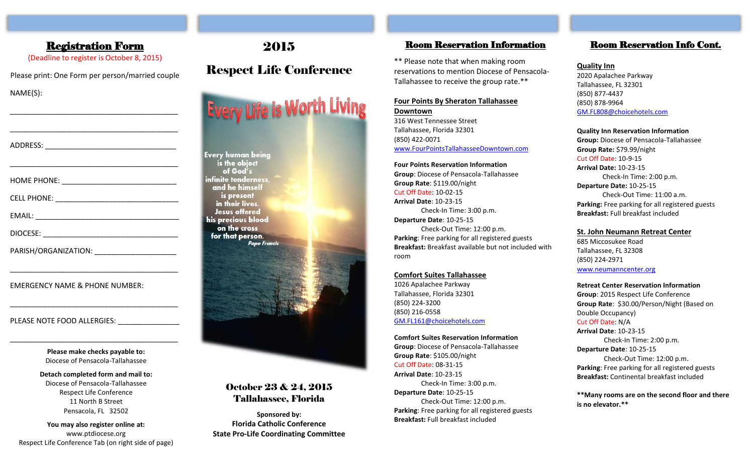## Registration Form

(Deadline to register is October 8, 2015)

Please print: One Form per person/married couple NAME(S):

\_\_\_\_\_\_\_\_\_\_\_\_\_\_\_\_\_\_\_\_\_\_\_\_\_\_\_\_\_\_\_\_\_\_\_\_\_\_\_\_\_

\_\_\_\_\_\_\_\_\_\_\_\_\_\_\_\_\_\_\_\_\_\_\_\_\_\_\_\_\_\_\_\_\_\_\_\_\_\_\_\_\_

| PARISH/ORGANIZATION: __________________________ |
|-------------------------------------------------|

\_\_\_\_\_\_\_\_\_\_\_\_\_\_\_\_\_\_\_\_\_\_\_\_\_\_\_\_\_\_\_\_\_\_\_\_\_\_\_\_\_

\_\_\_\_\_\_\_\_\_\_\_\_\_\_\_\_\_\_\_\_\_\_\_\_\_\_\_\_\_\_\_\_\_\_\_\_\_\_\_\_\_

EMERGENCY NAME & PHONE NUMBER:

PLEASE NOTE FOOD ALLERGIES:

**Please make checks payable to:** Diocese of Pensacola-Tallahassee

\_\_\_\_\_\_\_\_\_\_\_\_\_\_\_\_\_\_\_\_\_\_\_\_\_\_\_\_\_\_\_\_\_\_\_\_\_\_\_\_\_

**Detach completed form and mail to:** Diocese of Pensacola-Tallahassee Respect Life Conference 11 North B Street Pensacola, FL 32502

**You may also register online at:** www.ptdiocese.org Respect Life Conference Tab (on right side of page)

## 2015

## Respect Life Conference

**Every Life is Worth Living** 

**Every human being** is the object of God's infinite tenderness. and he himself is present in their lives. **Jesus offered** his precious blood on the cross for that person. **Pope Francis** 

## October 23 & 24, 2015 Tallahassee, Florida

**Sponsored by: Florida Catholic Conference State Pro-Life Coordinating Committee**

### Room Reservation Information

\*\* Please note that when making room reservations to mention Diocese of Pensacola-Tallahassee to receive the group rate.\*\*

#### **Four Points By Sheraton Tallahassee Downtown**

316 West Tennessee Street Tallahassee, Florida 32301 (850) 422-0071 [www.FourPointsTallahasseeDowntown.com](http://www.fourpointstallahasseedowntown.com/)

**Four Points Reservation Information Group**: Diocese of Pensacola-Tallahassee **Group Rate**: \$119.00/night Cut Off Date: 10-02-15 **Arrival Date**: 10-23-15 Check-In Time: 3:00 p.m. **Departure Date**: 10-25-15 Check-Out Time: 12:00 p.m. **Parking**: Free parking for all registered guests **Breakfast:** Breakfast available but not included with room

#### **Comfort Suites Tallahassee**

1026 Apalachee Parkway Tallahassee, Florida 32301 (850) 224-3200 (850) 216-0558 [GM.FL161@choicehotels.com](mailto:GM.FL161@choicehotels.com)

**Comfort Suites Reservation Information Group**: Diocese of Pensacola-Tallahassee **Group Rate**: \$105.00/night Cut Off Date: 08-31-15 **Arrival Date**: 10-23-15 Check-In Time: 3:00 p.m. **Departure Date**: 10-25-15 Check-Out Time: 12:00 p.m. **Parking**: Free parking for all registered guests **Breakfast:** Full breakfast included

## Room Reservation Info Cont.

#### **Quality Inn**

2020 Apalachee Parkway Tallahassee, FL 32301 (850) 877-4437 (850) 878-9964 [GM.FL808@choicehotels.com](mailto:GM.FL808@choicehotels.com)

#### **Quality Inn Reservation Information**

**Group:** Diocese of Pensacola-Tallahassee **Group Rate:** \$79.99/night Cut Off Date: 10-9-15 **Arrival Date:** 10-23-15 Check-In Time: 2:00 p.m. **Departure Date:** 10-25-15 Check-Out Time: 11:00 a.m. **Parking:** Free parking for all registered guests **Breakfast:** Full breakfast included

#### **St. John Neumann Retreat Center**

685 Miccosukee Road Tallahassee, FL 32308 (850) 224-2971 [www.neumanncenter.org](http://www.neumanncenter.org/)

**Retreat Center Reservation Information**

**Group**: 2015 Respect Life Conference **Group Rate**: \$30.00/Person/Night (Based on Double Occupancy) Cut Off Date: N/A **Arrival Date**: 10-23-15 Check-In Time: 2:00 p.m.

**Departure Date**: 10-25-15 Check-Out Time: 12:00 p.m. **Parking**: Free parking for all registered guests **Breakfast:** Continental breakfast included

**\*\*Many rooms are on the second floor and there is no elevator.\*\***